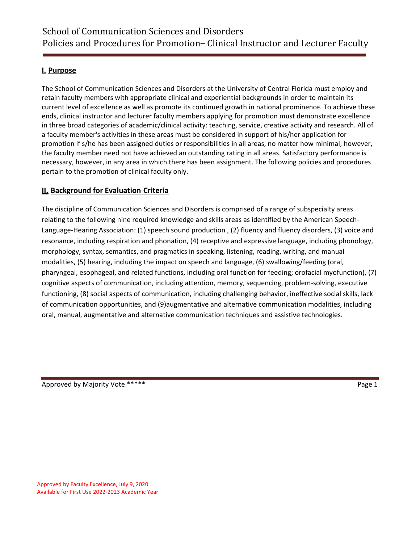# **I. Purpose**

The School of Communication Sciences and Disorders at the University of Central Florida must employ and retain faculty members with appropriate clinical and experiential backgrounds in order to maintain its current level of excellence as well as promote its continued growth in national prominence. To achieve these ends, clinical instructor and lecturer faculty members applying for promotion must demonstrate excellence in three broad categories of academic/clinical activity: teaching, service, creative activity and research. All of a faculty member's activities in these areas must be considered in support of his/her application for promotion if s/he has been assigned duties or responsibilities in all areas, no matter how minimal; however, the faculty member need not have achieved an outstanding rating in all areas. Satisfactory performance is necessary, however, in any area in which there has been assignment. The following policies and procedures pertain to the promotion of clinical faculty only.

## **II. Background for Evaluation Criteria**

The discipline of Communication Sciences and Disorders is comprised of a range of subspecialty areas relating to the following nine required knowledge and skills areas as identified by the American Speech-Language-Hearing Association: (1) speech sound production , (2) fluency and fluency disorders, (3) voice and resonance, including respiration and phonation, (4) receptive and expressive language, including phonology, morphology, syntax, semantics, and pragmatics in speaking, listening, reading, writing, and manual modalities, (5) hearing, including the impact on speech and language, (6) swallowing/feeding (oral, pharyngeal, esophageal, and related functions, including oral function for feeding; orofacial myofunction), (7) cognitive aspects of communication, including attention, memory, sequencing, problem-solving, executive functioning, (8) social aspects of communication, including challenging behavior, ineffective social skills, lack of communication opportunities, and (9)augmentative and alternative communication modalities, including oral, manual, augmentative and alternative communication techniques and assistive technologies.

Approved by Majority Vote \*\*\*\*\* Page 1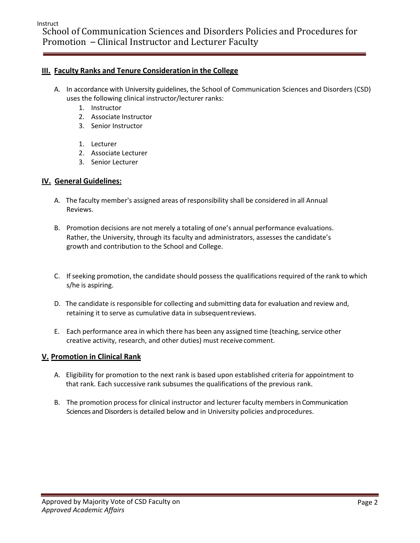### **III. Faculty Ranks and Tenure Consideration in the College**

- A. In accordance with University guidelines, the School of Communication Sciences and Disorders (CSD) uses the following clinical instructor/lecturer ranks:
	- 1. Instructor
	- 2. Associate Instructor
	- 3. Senior Instructor
	- 1. Lecturer
	- 2. Associate Lecturer
	- 3. Senior Lecturer

### **IV. General Guidelines:**

- A. The faculty member's assigned areas of responsibility shall be considered in all Annual Reviews.
- B. Promotion decisions are not merely a totaling of one's annual performance evaluations. Rather, the University, through its faculty and administrators, assesses the candidate's growth and contribution to the School and College.
- C. If seeking promotion, the candidate should possess the qualifications required of the rank to which s/he is aspiring.
- D. The candidate is responsible for collecting and submitting data for evaluation and review and, retaining it to serve as cumulative data in subsequentreviews.
- E. Each performance area in which there has been any assigned time (teaching, service other creative activity, research, and other duties) must receive comment.

### **V. Promotion in Clinical Rank**

- A. Eligibility for promotion to the next rank is based upon established criteria for appointment to that rank. Each successive rank subsumes the qualifications of the previous rank.
- B. The promotion process for clinical instructor and lecturer faculty members in Communication Sciences and Disorders is detailed below and in University policies andprocedures.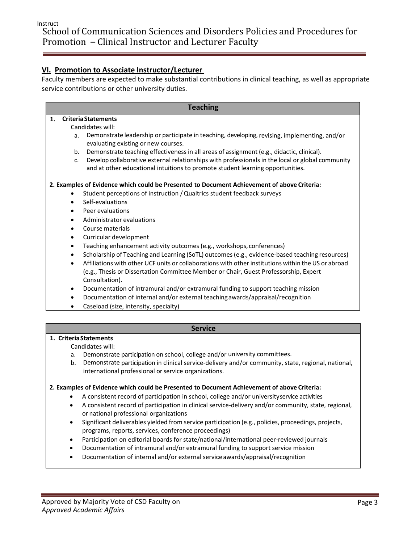# **VI. Promotion to Associate Instructor/Lecturer**

Faculty members are expected to make substantial contributions in clinical teaching, as well as appropriate service contributions or other university duties.

### **Teaching 1. CriteriaStatements** Candidates will: a. Demonstrate leadership or participate in teaching, developing, revising, implementing, and/or evaluating existing or new courses. b. Demonstrate teaching effectiveness in all areas of assignment (e.g., didactic, clinical). c. Develop collaborative external relationships with professionals in the local or global community and at other educational intuitions to promote student learning opportunities. **2. Examples of Evidence which could be Presented to Document Achievement of above Criteria:** • Student perceptions of instruction /Qualtrics student feedback surveys Self-evaluations Peer evaluations • Administrator evaluations • Course materials • Curricular development • Teaching enhancement activity outcomes (e.g., workshops, conferences) • Scholarship of Teaching and Learning (SoTL) outcomes(e.g., evidence-based teaching resources) • Affiliations with other UCF units or collaborations with other institutions within the US or abroad (e.g., Thesis or Dissertation Committee Member or Chair, Guest Professorship, Expert Consultation).

• Documentation of intramural and/or extramural funding to support teaching mission

- Documentation of internal and/or external teachingawards/appraisal/recognition
- Caseload (size, intensity, specialty)

#### **Service**

### **1. CriteriaStatements**

#### Candidates will:

- a. Demonstrate participation on school, college and/or university committees.
- b. Demonstrate participation in clinical service-delivery and/or community, state, regional, national, international professional or service organizations.

#### **2. Examples of Evidence which could be Presented to Document Achievement of above Criteria:**

- A consistent record of participation in school, college and/or universityservice activities
- A consistent record of participation in clinical service-delivery and/or community, state, regional, or national professional organizations
- Significant deliverables yielded from service participation (e.g., policies, proceedings, projects, programs, reports, services, conference proceedings)
- Participation on editorial boards for state/national/international peer-reviewed journals
- Documentation of intramural and/or extramural funding to support service mission
- Documentation of internal and/or external serviceawards/appraisal/recognition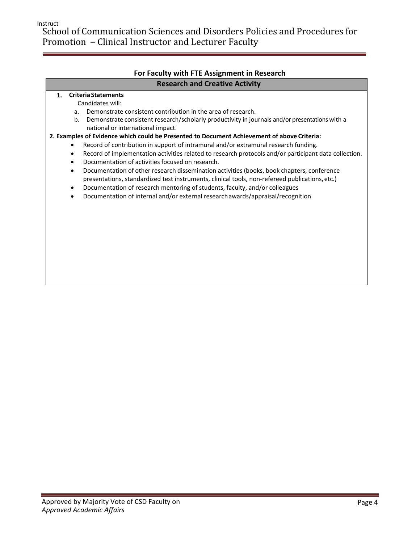Instruct

School of Communication Sciences and Disorders Policies and Procedures for Promotion – Clinical Instructor and Lecturer Faculty

## **For Faculty with FTE Assignment in Research Research and Creative Activity**

#### **1. Criteria Statements**

Candidates will:

- a. Demonstrate consistent contribution in the area of research.
- b. Demonstrate consistent research/scholarly productivity in journals and/or presentations with a national or international impact.

#### **2. Examples of Evidence which could be Presented to Document Achievement of above Criteria:**

- Record of contribution in support of intramural and/or extramural research funding.
- Record of implementation activities related to research protocols and/or participant data collection.
- Documentation of activities focused on research.
- Documentation of other research dissemination activities (books, book chapters, conference presentations, standardized test instruments, clinical tools, non-refereed publications,etc.)
- Documentation of research mentoring of students, faculty, and/or colleagues
- Documentation of internal and/or external researchawards/appraisal/recognition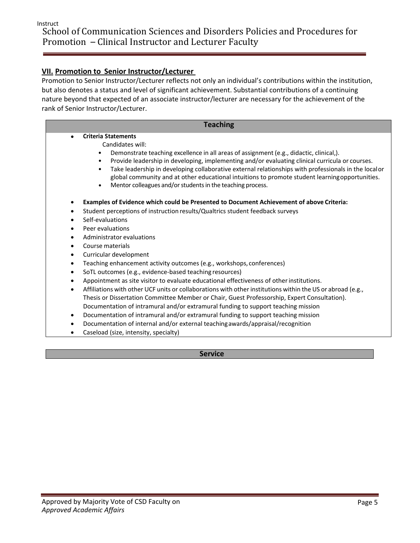# **VII. Promotion to Senior Instructor/Lecturer**

Promotion to Senior Instructor/Lecturer reflects not only an individual's contributions within the institution, but also denotes a status and level of significant achievement. Substantial contributions of a continuing nature beyond that expected of an associate instructor/lecturer are necessary for the achievement of the rank of Senior Instructor/Lecturer.

| <b>Teaching</b>             |                                                                                                                                                                                                                                                                                                                                                                                                                                                                                                                                                                                                                                                                                                                                            |
|-----------------------------|--------------------------------------------------------------------------------------------------------------------------------------------------------------------------------------------------------------------------------------------------------------------------------------------------------------------------------------------------------------------------------------------------------------------------------------------------------------------------------------------------------------------------------------------------------------------------------------------------------------------------------------------------------------------------------------------------------------------------------------------|
| ٠<br>$\bullet$<br>$\bullet$ | <b>Criteria Statements</b><br>Candidates will:<br>Demonstrate teaching excellence in all areas of assignment (e.g., didactic, clinical,).<br>Provide leadership in developing, implementing and/or evaluating clinical curricula or courses.<br>Take leadership in developing collaborative external relationships with professionals in the localor<br>global community and at other educational intuitions to promote student learning opportunities.<br>Mentor colleagues and/or students in the teaching process.                                                                                                                                                                                                                      |
| ٠                           | Examples of Evidence which could be Presented to Document Achievement of above Criteria:<br>Student perceptions of instruction results/Qualtrics student feedback surveys<br>Self-evaluations<br>Peer evaluations<br>Administrator evaluations<br>Course materials<br>Curricular development<br>Teaching enhancement activity outcomes (e.g., workshops, conferences)<br>SoTL outcomes (e.g., evidence-based teaching resources)<br>Appointment as site visitor to evaluate educational effectiveness of other institutions.<br>Affiliations with other UCF units or collaborations with other institutions within the US or abroad (e.g.,<br>Thesis or Dissertation Committee Member or Chair, Guest Professorship, Expert Consultation). |

- Documentation of intramural and/or extramural funding to support teaching mission
- Documentation of internal and/or external teachingawards/appraisal/recognition
- Caseload (size, intensity, specialty)

**Service**